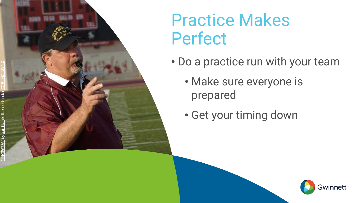

## **MS4 Audit Success Stories**

July 23, 2020 | 10:30 a.m. – 11:30 a.m. (Eastern)

[SESWA.org](http://www.seswa.org/) - 866-367-7379 - [info@SESWA.org](mailto:info@seswa.org)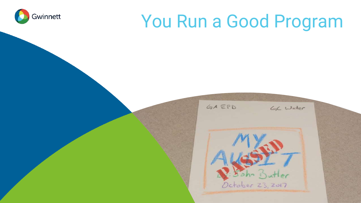## **Thanks to Our Sponsors!**